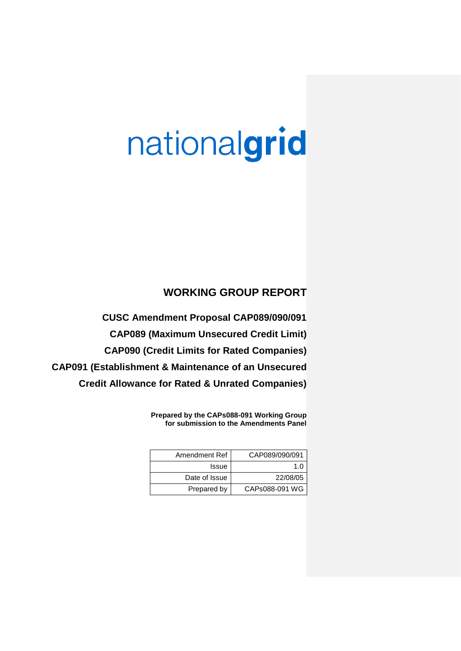# nationalgrid

# **WORKING GROUP REPORT**

**CUSC Amendment Proposal CAP089/090/091 CAP089 (Maximum Unsecured Credit Limit) CAP090 (Credit Limits for Rated Companies) CAP091 (Establishment & Maintenance of an Unsecured Credit Allowance for Rated & Unrated Companies)**

> **Prepared by the CAPs088-091 Working Group for submission to the Amendments Panel**

| Amendment Ref | CAP089/090/091 |
|---------------|----------------|
| Issue         | 1 በ            |
| Date of Issue | 22/08/05       |
| Prepared by   | CAPs088-091 WG |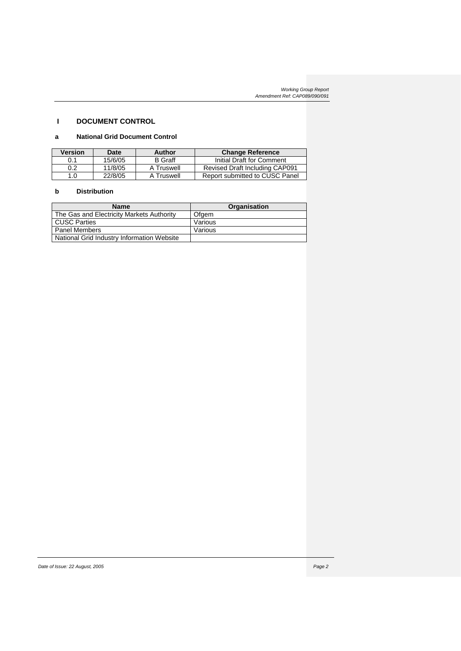# **I DOCUMENT CONTROL**

# **a National Grid Document Control**

| <b>Version</b> | Date    | Author         | <b>Change Reference</b>               |
|----------------|---------|----------------|---------------------------------------|
| 0.1            | 15/6/05 | <b>B</b> Graff | Initial Draft for Comment             |
| 0.2            | 11/8/05 | A Truswell     | <b>Revised Draft Including CAP091</b> |
| 1.0            | 22/8/05 | A Truswell     | Report submitted to CUSC Panel        |

# **b Distribution**

| <b>Name</b>                                | Organisation |
|--------------------------------------------|--------------|
| The Gas and Electricity Markets Authority  | Ofgem        |
| CUSC Parties                               | Various      |
| <b>Panel Members</b>                       | Various      |
| National Grid Industry Information Website |              |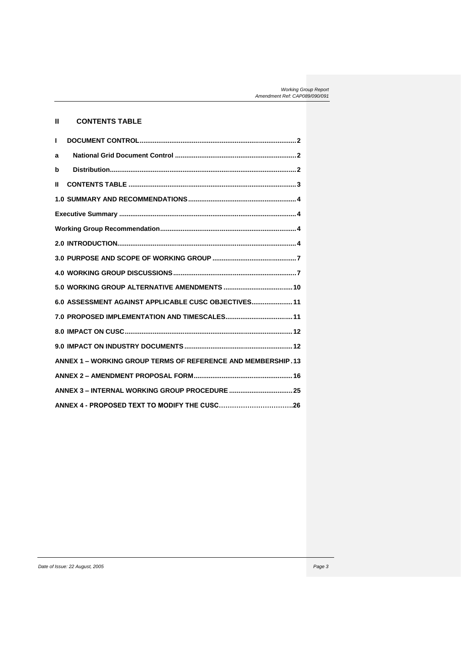# **II CONTENTS TABLE**

| т |                                                              |  |
|---|--------------------------------------------------------------|--|
| a |                                                              |  |
| b |                                                              |  |
| Ш |                                                              |  |
|   |                                                              |  |
|   |                                                              |  |
|   |                                                              |  |
|   |                                                              |  |
|   |                                                              |  |
|   |                                                              |  |
|   |                                                              |  |
|   | 6.0 ASSESSMENT AGAINST APPLICABLE CUSC OBJECTIVES 11         |  |
|   |                                                              |  |
|   |                                                              |  |
|   |                                                              |  |
|   | ANNEX 1 - WORKING GROUP TERMS OF REFERENCE AND MEMBERSHIP.13 |  |
|   |                                                              |  |
|   |                                                              |  |
|   |                                                              |  |
|   |                                                              |  |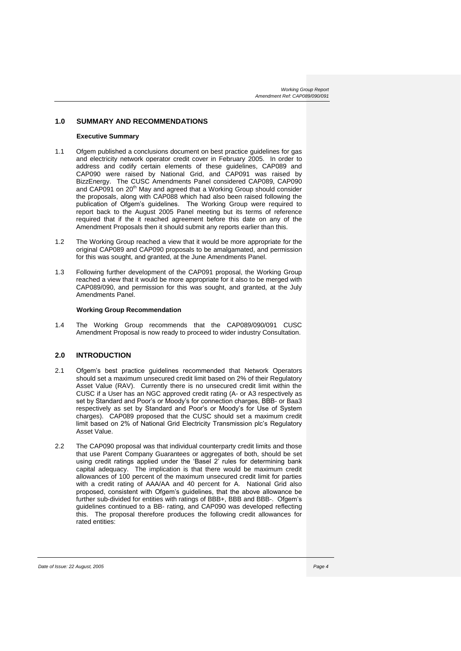### **1.0 SUMMARY AND RECOMMENDATIONS**

### **Executive Summary**

- 1.1 Ofgem published a conclusions document on best practice guidelines for gas and electricity network operator credit cover in February 2005. In order to address and codify certain elements of these guidelines, CAP089 and CAP090 were raised by National Grid, and CAP091 was raised by BizzEnergy. The CUSC Amendments Panel considered CAP089, CAP090 and CAP091 on 20<sup>th</sup> May and agreed that a Working Group should consider the proposals, along with CAP088 which had also been raised following the publication of Ofgem's guidelines. The Working Group were required to report back to the August 2005 Panel meeting but its terms of reference required that if the it reached agreement before this date on any of the Amendment Proposals then it should submit any reports earlier than this.
- 1.2 The Working Group reached a view that it would be more appropriate for the original CAP089 and CAP090 proposals to be amalgamated, and permission for this was sought, and granted, at the June Amendments Panel.
- 1.3 Following further development of the CAP091 proposal, the Working Group reached a view that it would be more appropriate for it also to be merged with CAP089/090, and permission for this was sought, and granted, at the July Amendments Panel.

### **Working Group Recommendation**

1.4 The Working Group recommends that the CAP089/090/091 CUSC Amendment Proposal is now ready to proceed to wider industry Consultation.

# **2.0 INTRODUCTION**

- 2.1 Ofgem's best practice guidelines recommended that Network Operators should set a maximum unsecured credit limit based on 2% of their Regulatory Asset Value (RAV). Currently there is no unsecured credit limit within the CUSC if a User has an NGC approved credit rating (A- or A3 respectively as set by Standard and Poor's or Moody's for connection charges, BBB- or Baa3 respectively as set by Standard and Poor's or Moody's for Use of System charges). CAP089 proposed that the CUSC should set a maximum credit limit based on 2% of National Grid Electricity Transmission plc's Regulatory Asset Value.
- 2.2 The CAP090 proposal was that individual counterparty credit limits and those that use Parent Company Guarantees or aggregates of both, should be set using credit ratings applied under the 'Basel 2' rules for determining bank capital adequacy. The implication is that there would be maximum credit allowances of 100 percent of the maximum unsecured credit limit for parties with a credit rating of AAA/AA and 40 percent for A. National Grid also proposed, consistent with Ofgem's guidelines, that the above allowance be further sub-divided for entities with ratings of BBB+, BBB and BBB-. Ofgem's guidelines continued to a BB- rating, and CAP090 was developed reflecting this. The proposal therefore produces the following credit allowances for rated entities: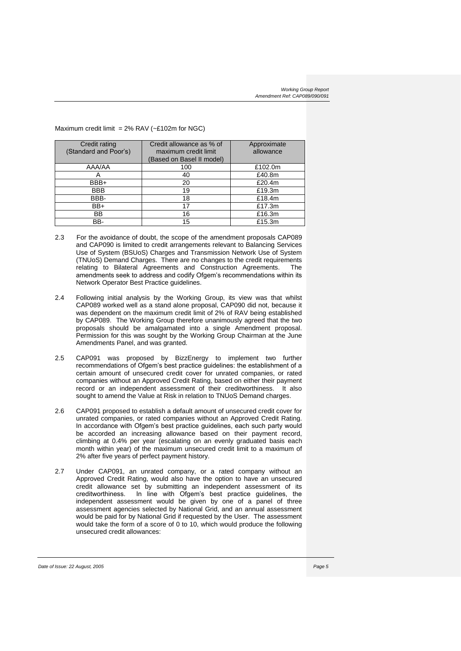### Maximum credit limit =  $2\%$  RAV (~£102m for NGC)

| Credit rating<br>(Standard and Poor's) | Credit allowance as % of<br>maximum credit limit<br>(Based on Basel II model) | Approximate<br>allowance |
|----------------------------------------|-------------------------------------------------------------------------------|--------------------------|
| AAA/AA                                 | 100                                                                           | £102.0m                  |
|                                        | 40                                                                            | £40.8m                   |
| BBB+                                   | 20                                                                            | £20.4m                   |
| <b>BBB</b>                             | 19                                                                            | £19.3m                   |
| BBB-                                   | 18                                                                            | £18.4m                   |
| BB+                                    | 17                                                                            | £17.3m                   |
| BB                                     | 16                                                                            | £16.3m                   |
| BB-                                    | 15                                                                            | £15.3m                   |

- 2.3 For the avoidance of doubt, the scope of the amendment proposals CAP089 and CAP090 is limited to credit arrangements relevant to Balancing Services Use of System (BSUoS) Charges and Transmission Network Use of System (TNUoS) Demand Charges. There are no changes to the credit requirements relating to Bilateral Agreements and Construction Agreements. amendments seek to address and codify Ofgem's recommendations within its Network Operator Best Practice guidelines.
- 2.4 Following initial analysis by the Working Group, its view was that whilst CAP089 worked well as a stand alone proposal, CAP090 did not, because it was dependent on the maximum credit limit of 2% of RAV being established by CAP089. The Working Group therefore unanimously agreed that the two proposals should be amalgamated into a single Amendment proposal. Permission for this was sought by the Working Group Chairman at the June Amendments Panel, and was granted.
- 2.5 CAP091 was proposed by BizzEnergy to implement two further recommendations of Ofgem's best practice guidelines: the establishment of a certain amount of unsecured credit cover for unrated companies, or rated companies without an Approved Credit Rating, based on either their payment record or an independent assessment of their creditworthiness. It also sought to amend the Value at Risk in relation to TNUoS Demand charges.
- 2.6 CAP091 proposed to establish a default amount of unsecured credit cover for unrated companies, or rated companies without an Approved Credit Rating. In accordance with Ofgem's best practice guidelines, each such party would be accorded an increasing allowance based on their payment record, climbing at 0.4% per year (escalating on an evenly graduated basis each month within year) of the maximum unsecured credit limit to a maximum of 2% after five years of perfect payment history.
- 2.7 Under CAP091, an unrated company, or a rated company without an Approved Credit Rating, would also have the option to have an unsecured credit allowance set by submitting an independent assessment of its creditworthiness. In line with Ofgem's best practice guidelines, the independent assessment would be given by one of a panel of three assessment agencies selected by National Grid, and an annual assessment would be paid for by National Grid if requested by the User. The assessment would take the form of a score of 0 to 10, which would produce the following unsecured credit allowances: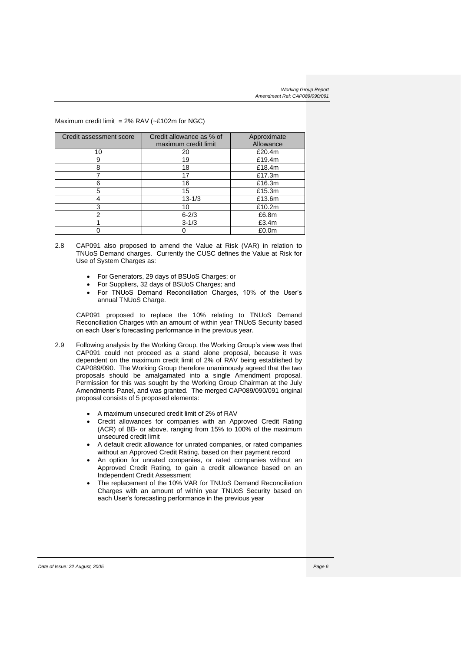## Maximum credit limit =  $2\%$  RAV (~£102m for NGC)

| Credit assessment score | Credit allowance as % of<br>maximum credit limit | Approximate<br>Allowance |
|-------------------------|--------------------------------------------------|--------------------------|
| 10                      | 20                                               | £20.4m                   |
| 9                       | 19                                               | £19.4m                   |
| 8                       | 18                                               | £18.4m                   |
|                         | 17                                               | £17.3m                   |
| 6                       | 16                                               | £16.3m                   |
| 5                       | 15                                               | £15.3m                   |
|                         | $13 - 1/3$                                       | £13.6m                   |
| 3                       | 10                                               | £10.2m                   |
| 2                       | $6 - 2/3$                                        | £6.8m                    |
|                         | $3 - 1/3$                                        | £3.4m                    |
|                         |                                                  | £0.0m                    |

- 2.8 CAP091 also proposed to amend the Value at Risk (VAR) in relation to TNUoS Demand charges. Currently the CUSC defines the Value at Risk for Use of System Charges as:
	- For Generators, 29 days of BSUoS Charges; or
	- For Suppliers, 32 days of BSUoS Charges; and
	- For TNUoS Demand Reconciliation Charges, 10% of the User's annual TNUoS Charge.

CAP091 proposed to replace the 10% relating to TNUoS Demand Reconciliation Charges with an amount of within year TNUoS Security based on each User's forecasting performance in the previous year.

- 2.9 Following analysis by the Working Group, the Working Group's view was that CAP091 could not proceed as a stand alone proposal, because it was dependent on the maximum credit limit of 2% of RAV being established by CAP089/090. The Working Group therefore unanimously agreed that the two proposals should be amalgamated into a single Amendment proposal. Permission for this was sought by the Working Group Chairman at the July Amendments Panel, and was granted. The merged CAP089/090/091 original proposal consists of 5 proposed elements:
	- A maximum unsecured credit limit of 2% of RAV
	- Credit allowances for companies with an Approved Credit Rating (ACR) of BB- or above, ranging from 15% to 100% of the maximum unsecured credit limit
	- A default credit allowance for unrated companies, or rated companies without an Approved Credit Rating, based on their payment record
	- An option for unrated companies, or rated companies without an Approved Credit Rating, to gain a credit allowance based on an Independent Credit Assessment
	- The replacement of the 10% VAR for TNUoS Demand Reconciliation Charges with an amount of within year TNUoS Security based on each User's forecasting performance in the previous year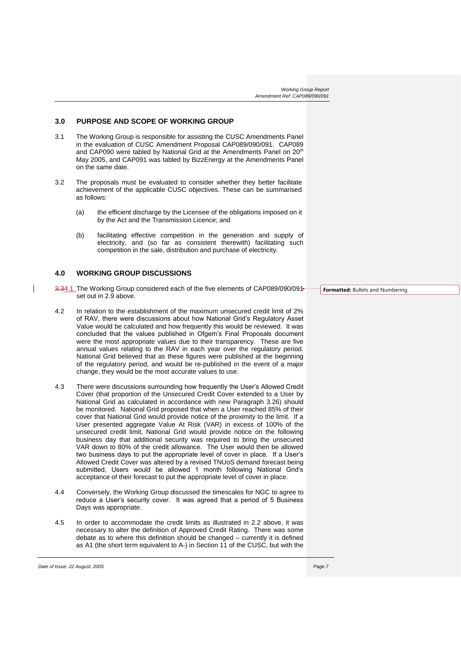## **3.0 PURPOSE AND SCOPE OF WORKING GROUP**

- 3.1 The Working Group is responsible for assisting the CUSC Amendments Panel in the evaluation of CUSC Amendment Proposal CAP089/090/091. CAP089 and CAP090 were tabled by National Grid at the Amendments Panel on 20<sup>th</sup> May 2005, and CAP091 was tabled by BizzEnergy at the Amendments Panel on the same date.
- 3.2 The proposals must be evaluated to consider whether they better facilitate achievement of the applicable CUSC objectives. These can be summarised as follows:
	- (a) the efficient discharge by the Licensee of the obligations imposed on it by the Act and the Transmission Licence; and
	- (b) facilitating effective competition in the generation and supply of electricity, and (so far as consistent therewith) facilitating such competition in the sale, distribution and purchase of electricity.

## **4.0 WORKING GROUP DISCUSSIONS**

 $\overline{\phantom{a}}$ 

- 3.34.1 The Working Group considered each of the five elements of CAP089/090/091 set out in 2.9 above.
- 4.2 In relation to the establishment of the maximum unsecured credit limit of 2% of RAV, there were discussions about how National Grid's Regulatory Asset Value would be calculated and how frequently this would be reviewed. It was concluded that the values published in Ofgem's Final Proposals document were the most appropriate values due to their transparency. These are five annual values relating to the RAV in each year over the regulatory period. National Grid believed that as these figures were published at the beginning of the regulatory period, and would be re-published in the event of a major change, they would be the most accurate values to use.
- 4.3 There were discussions surrounding how frequently the User's Allowed Credit Cover (that proportion of the Unsecured Credit Cover extended to a User by National Grid as calculated in accordance with new Paragraph 3.26) should be monitored. National Grid proposed that when a User reached 85% of their cover that National Grid would provide notice of the proximity to the limit. If a User presented aggregate Value At Risk (VAR) in excess of 100% of the unsecured credit limit, National Grid would provide notice on the following business day that additional security was required to bring the unsecured VAR down to 80% of the credit allowance. The User would then be allowed two business days to put the appropriate level of cover in place. If a User's Allowed Credit Cover was altered by a revised TNUoS demand forecast being submitted, Users would be allowed 1 month following National Grid's acceptance of their forecast to put the appropriate level of cover in place.
- 4.4 Conversely, the Working Group discussed the timescales for NGC to agree to reduce a User's security cover. It was agreed that a period of 5 Business Days was appropriate.
- 4.5 In order to accommodate the credit limits as illustrated in 2.2 above, it was necessary to alter the definition of Approved Credit Rating. There was some debate as to where this definition should be changed – currently it is defined as A1 (the short term equivalent to A-) in Section 11 of the CUSC, but with the

**Formatted:** Bullets and Numbering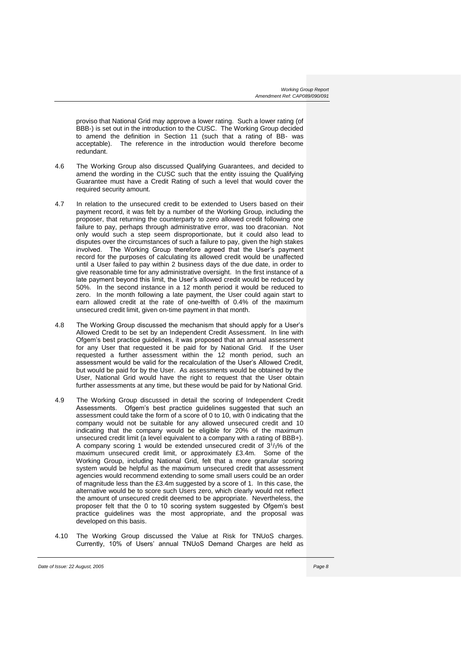proviso that National Grid may approve a lower rating. Such a lower rating (of BBB-) is set out in the introduction to the CUSC. The Working Group decided to amend the definition in Section 11 (such that a rating of BB- was acceptable). The reference in the introduction would therefore become redundant.

- 4.6 The Working Group also discussed Qualifying Guarantees, and decided to amend the wording in the CUSC such that the entity issuing the Qualifying Guarantee must have a Credit Rating of such a level that would cover the required security amount.
- 4.7 In relation to the unsecured credit to be extended to Users based on their payment record, it was felt by a number of the Working Group, including the proposer, that returning the counterparty to zero allowed credit following one failure to pay, perhaps through administrative error, was too draconian. Not only would such a step seem disproportionate, but it could also lead to disputes over the circumstances of such a failure to pay, given the high stakes involved. The Working Group therefore agreed that the User's payment record for the purposes of calculating its allowed credit would be unaffected until a User failed to pay within 2 business days of the due date, in order to give reasonable time for any administrative oversight. In the first instance of a late payment beyond this limit, the User's allowed credit would be reduced by 50%. In the second instance in a 12 month period it would be reduced to zero. In the month following a late payment, the User could again start to earn allowed credit at the rate of one-twelfth of 0.4% of the maximum unsecured credit limit, given on-time payment in that month.
- 4.8 The Working Group discussed the mechanism that should apply for a User's Allowed Credit to be set by an Independent Credit Assessment. In line with Ofgem's best practice guidelines, it was proposed that an annual assessment for any User that requested it be paid for by National Grid. If the User requested a further assessment within the 12 month period, such an assessment would be valid for the recalculation of the User's Allowed Credit, but would be paid for by the User. As assessments would be obtained by the User, National Grid would have the right to request that the User obtain further assessments at any time, but these would be paid for by National Grid.
- 4.9 The Working Group discussed in detail the scoring of Independent Credit Assessments. Ofgem's best practice guidelines suggested that such an assessment could take the form of a score of 0 to 10, with 0 indicating that the company would not be suitable for any allowed unsecured credit and 10 indicating that the company would be eligible for 20% of the maximum unsecured credit limit (a level equivalent to a company with a rating of BBB+). A company scoring 1 would be extended unsecured credit of  $3<sup>1</sup>/3$ % of the maximum unsecured credit limit, or approximately £3.4m. Some of the Working Group, including National Grid, felt that a more granular scoring system would be helpful as the maximum unsecured credit that assessment agencies would recommend extending to some small users could be an order of magnitude less than the £3.4m suggested by a score of 1. In this case, the alternative would be to score such Users zero, which clearly would not reflect the amount of unsecured credit deemed to be appropriate. Nevertheless, the proposer felt that the 0 to 10 scoring system suggested by Ofgem's best practice guidelines was the most appropriate, and the proposal was developed on this basis.
- 4.10 The Working Group discussed the Value at Risk for TNUoS charges. Currently, 10% of Users' annual TNUoS Demand Charges are held as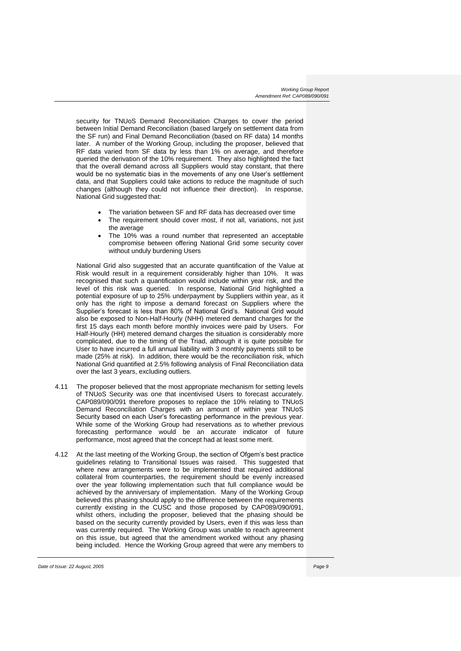security for TNUoS Demand Reconciliation Charges to cover the period between Initial Demand Reconciliation (based largely on settlement data from the SF run) and Final Demand Reconciliation (based on RF data) 14 months later. A number of the Working Group, including the proposer, believed that RF data varied from SF data by less than 1% on average, and therefore queried the derivation of the 10% requirement. They also highlighted the fact that the overall demand across all Suppliers would stay constant, that there would be no systematic bias in the movements of any one User's settlement data, and that Suppliers could take actions to reduce the magnitude of such changes (although they could not influence their direction). In response, National Grid suggested that:

- The variation between SF and RF data has decreased over time
- The requirement should cover most, if not all, variations, not just the average
- The 10% was a round number that represented an acceptable compromise between offering National Grid some security cover without unduly burdening Users

National Grid also suggested that an accurate quantification of the Value at Risk would result in a requirement considerably higher than 10%. It was recognised that such a quantification would include within year risk, and the level of this risk was queried. In response, National Grid highlighted a potential exposure of up to 25% underpayment by Suppliers within year, as it only has the right to impose a demand forecast on Suppliers where the Supplier's forecast is less than 80% of National Grid's. National Grid would also be exposed to Non-Half-Hourly (NHH) metered demand charges for the first 15 days each month before monthly invoices were paid by Users. For Half-Hourly (HH) metered demand charges the situation is considerably more complicated, due to the timing of the Triad, although it is quite possible for User to have incurred a full annual liability with 3 monthly payments still to be made (25% at risk). In addition, there would be the reconciliation risk, which National Grid quantified at 2.5% following analysis of Final Reconciliation data over the last 3 years, excluding outliers.

- 4.11 The proposer believed that the most appropriate mechanism for setting levels of TNUoS Security was one that incentivised Users to forecast accurately. CAP089/090/091 therefore proposes to replace the 10% relating to TNUoS Demand Reconciliation Charges with an amount of within year TNUoS Security based on each User's forecasting performance in the previous year. While some of the Working Group had reservations as to whether previous forecasting performance would be an accurate indicator of future performance, most agreed that the concept had at least some merit.
- 4.12 At the last meeting of the Working Group, the section of Ofgem's best practice guidelines relating to Transitional Issues was raised. This suggested that where new arrangements were to be implemented that required additional collateral from counterparties, the requirement should be evenly increased over the year following implementation such that full compliance would be achieved by the anniversary of implementation. Many of the Working Group believed this phasing should apply to the difference between the requirements currently existing in the CUSC and those proposed by CAP089/090/091, whilst others, including the proposer, believed that the phasing should be based on the security currently provided by Users, even if this was less than was currently required. The Working Group was unable to reach agreement on this issue, but agreed that the amendment worked without any phasing being included. Hence the Working Group agreed that were any members to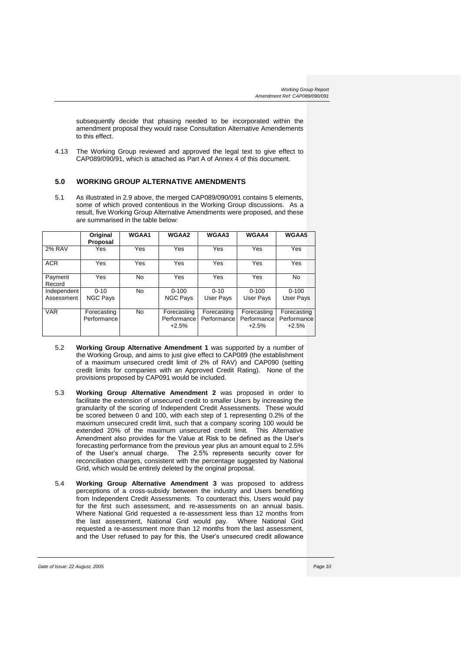subsequently decide that phasing needed to be incorporated within the amendment proposal they would raise Consultation Alternative Amendements to this effect.

4.13 The Working Group reviewed and approved the legal text to give effect to CAP089/090/91, which is attached as Part A of Annex 4 of this document.

# **5.0 WORKING GROUP ALTERNATIVE AMENDMENTS**

5.1 As illustrated in 2.9 above, the merged CAP089/090/091 contains 5 elements, some of which proved contentious in the Working Group discussions. As a result, five Working Group Alternative Amendments were proposed, and these are summarised in the table below:

|                           | Original<br>Proposal        | <b>WGAA1</b> | WGAA2                                 | WGAA3                      | <b>WGAA4</b>                          | WGAA5                                 |
|---------------------------|-----------------------------|--------------|---------------------------------------|----------------------------|---------------------------------------|---------------------------------------|
| <b>2% RAV</b>             | Yes                         | Yes          | Yes                                   | Yes                        | Yes                                   | Yes                                   |
| <b>ACR</b>                | Yes                         | Yes          | Yes                                   | Yes                        | Yes                                   | Yes                                   |
| Payment<br>Record         | Yes                         | No.          | Yes                                   | Yes                        | Yes                                   | No                                    |
| Independent<br>Assessment | $0 - 10$<br><b>NGC Pays</b> | <b>No</b>    | $0 - 100$<br><b>NGC Pays</b>          | $0 - 10$<br>User Pays      | $0 - 100$<br>User Pays                | $0 - 100$<br>User Pays                |
| <b>VAR</b>                | Forecasting<br>Performance  | <b>No</b>    | Forecasting<br>Performance<br>$+2.5%$ | Forecasting<br>Performance | Forecasting<br>Performance<br>$+2.5%$ | Forecasting<br>Performance<br>$+2.5%$ |

- 5.2 **Working Group Alternative Amendment 1** was supported by a number of the Working Group, and aims to just give effect to CAP089 (the establishment of a maximum unsecured credit limit of 2% of RAV) and CAP090 (setting credit limits for companies with an Approved Credit Rating). None of the provisions proposed by CAP091 would be included.
- 5.3 **Working Group Alternative Amendment 2** was proposed in order to facilitate the extension of unsecured credit to smaller Users by increasing the granularity of the scoring of Independent Credit Assessments. These would be scored between 0 and 100, with each step of 1 representing 0.2% of the maximum unsecured credit limit, such that a company scoring 100 would be extended 20% of the maximum unsecured credit limit. This Alternative Amendment also provides for the Value at Risk to be defined as the User's forecasting performance from the previous year plus an amount equal to 2.5% of the User's annual charge. The 2.5% represents security cover for reconciliation charges, consistent with the percentage suggested by National Grid, which would be entirely deleted by the original proposal.
- 5.4 **Working Group Alternative Amendment 3** was proposed to address perceptions of a cross-subsidy between the industry and Users benefiting from Independent Credit Assessments. To counteract this, Users would pay for the first such assessment, and re-assessments on an annual basis. Where National Grid requested a re-assessment less than 12 months from the last assessment, National Grid would pay. Where National Grid requested a re-assessment more than 12 months from the last assessment, and the User refused to pay for this, the User's unsecured credit allowance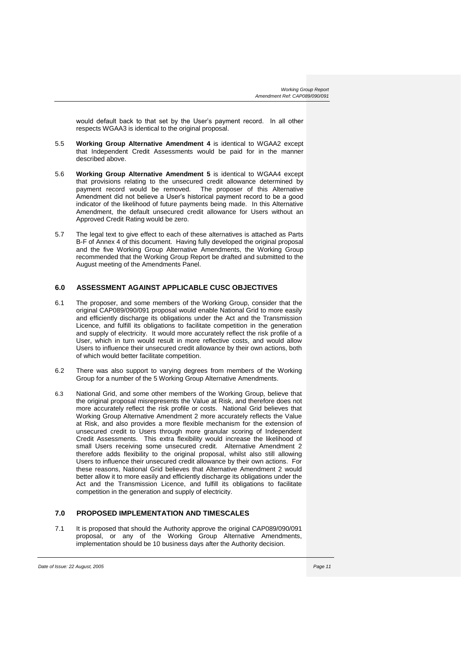would default back to that set by the User's payment record. In all other respects WGAA3 is identical to the original proposal.

- 5.5 **Working Group Alternative Amendment 4** is identical to WGAA2 except that Independent Credit Assessments would be paid for in the manner described above.
- 5.6 **Working Group Alternative Amendment 5** is identical to WGAA4 except that provisions relating to the unsecured credit allowance determined by payment record would be removed. The proposer of this Alternative Amendment did not believe a User's historical payment record to be a good indicator of the likelihood of future payments being made. In this Alternative Amendment, the default unsecured credit allowance for Users without an Approved Credit Rating would be zero.
- 5.7 The legal text to give effect to each of these alternatives is attached as Parts B-F of Annex 4 of this document. Having fully developed the original proposal and the five Working Group Alternative Amendments, the Working Group recommended that the Working Group Report be drafted and submitted to the August meeting of the Amendments Panel.

# **6.0 ASSESSMENT AGAINST APPLICABLE CUSC OBJECTIVES**

- 6.1 The proposer, and some members of the Working Group, consider that the original CAP089/090/091 proposal would enable National Grid to more easily and efficiently discharge its obligations under the Act and the Transmission Licence, and fulfill its obligations to facilitate competition in the generation and supply of electricity. It would more accurately reflect the risk profile of a User, which in turn would result in more reflective costs, and would allow Users to influence their unsecured credit allowance by their own actions, both of which would better facilitate competition.
- 6.2 There was also support to varying degrees from members of the Working Group for a number of the 5 Working Group Alternative Amendments.
- 6.3 National Grid, and some other members of the Working Group, believe that the original proposal misrepresents the Value at Risk, and therefore does not more accurately reflect the risk profile or costs. National Grid believes that Working Group Alternative Amendment 2 more accurately reflects the Value at Risk, and also provides a more flexible mechanism for the extension of unsecured credit to Users through more granular scoring of Independent Credit Assessments. This extra flexibility would increase the likelihood of small Users receiving some unsecured credit. Alternative Amendment 2 therefore adds flexibility to the original proposal, whilst also still allowing Users to influence their unsecured credit allowance by their own actions. For these reasons, National Grid believes that Alternative Amendment 2 would better allow it to more easily and efficiently discharge its obligations under the Act and the Transmission Licence, and fulfill its obligations to facilitate competition in the generation and supply of electricity.

# **7.0 PROPOSED IMPLEMENTATION AND TIMESCALES**

7.1 It is proposed that should the Authority approve the original CAP089/090/091 proposal, or any of the Working Group Alternative Amendments, implementation should be 10 business days after the Authority decision.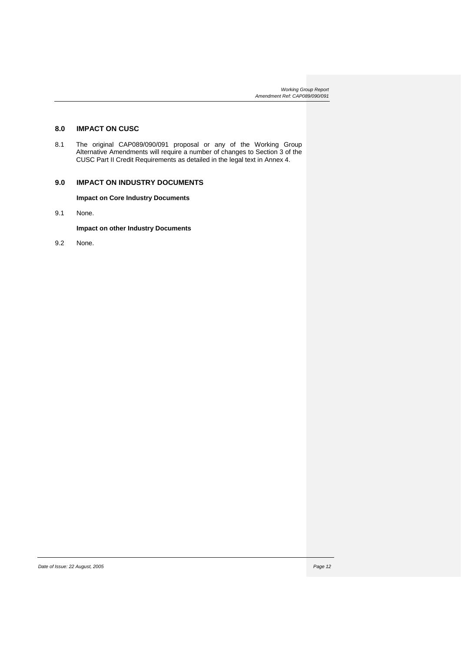# **8.0 IMPACT ON CUSC**

8.1 The original CAP089/090/091 proposal or any of the Working Group Alternative Amendments will require a number of changes to Section 3 of the CUSC Part II Credit Requirements as detailed in the legal text in Annex 4.

# **9.0 IMPACT ON INDUSTRY DOCUMENTS**

**Impact on Core Industry Documents**

9.1 None.

**Impact on other Industry Documents**

9.2 None.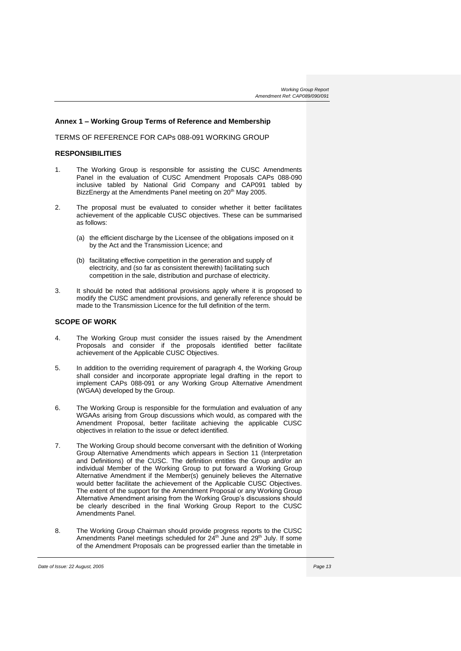### **Annex 1 – Working Group Terms of Reference and Membership**

TERMS OF REFERENCE FOR CAPs 088-091 WORKING GROUP

# **RESPONSIBILITIES**

- 1. The Working Group is responsible for assisting the CUSC Amendments Panel in the evaluation of CUSC Amendment Proposals CAPs 088-090 inclusive tabled by National Grid Company and CAP091 tabled by BizzEnergy at the Amendments Panel meeting on 20<sup>th</sup> May 2005.
- 2. The proposal must be evaluated to consider whether it better facilitates achievement of the applicable CUSC objectives. These can be summarised as follows:
	- (a) the efficient discharge by the Licensee of the obligations imposed on it by the Act and the Transmission Licence; and
	- (b) facilitating effective competition in the generation and supply of electricity, and (so far as consistent therewith) facilitating such competition in the sale, distribution and purchase of electricity.
- 3. It should be noted that additional provisions apply where it is proposed to modify the CUSC amendment provisions, and generally reference should be made to the Transmission Licence for the full definition of the term.

# **SCOPE OF WORK**

- 4. The Working Group must consider the issues raised by the Amendment Proposals and consider if the proposals identified better facilitate achievement of the Applicable CUSC Objectives.
- 5. In addition to the overriding requirement of paragraph 4, the Working Group shall consider and incorporate appropriate legal drafting in the report to implement CAPs 088-091 or any Working Group Alternative Amendment (WGAA) developed by the Group.
- 6. The Working Group is responsible for the formulation and evaluation of any WGAAs arising from Group discussions which would, as compared with the Amendment Proposal, better facilitate achieving the applicable CUSC objectives in relation to the issue or defect identified.
- 7. The Working Group should become conversant with the definition of Working Group Alternative Amendments which appears in Section 11 (Interpretation and Definitions) of the CUSC. The definition entitles the Group and/or an individual Member of the Working Group to put forward a Working Group Alternative Amendment if the Member(s) genuinely believes the Alternative would better facilitate the achievement of the Applicable CUSC Objectives. The extent of the support for the Amendment Proposal or any Working Group Alternative Amendment arising from the Working Group's discussions should be clearly described in the final Working Group Report to the CUSC Amendments Panel.
- 8. The Working Group Chairman should provide progress reports to the CUSC Amendments Panel meetings scheduled for 24<sup>th</sup> June and 29<sup>th</sup> July. If some of the Amendment Proposals can be progressed earlier than the timetable in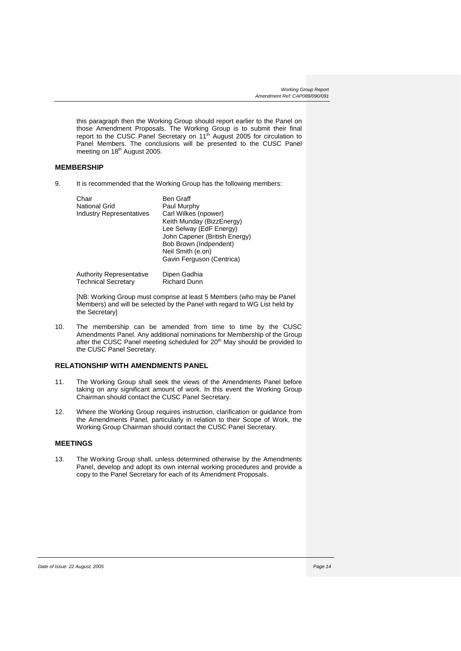this paragraph then the Working Group should report earlier to the Panel on those Amendment Proposals. The Working Group is to submit their final report to the CUSC Panel Secretary on 11<sup>th</sup> August 2005 for circulation to Panel Members. The conclusions will be presented to the CUSC Panel meeting on 18<sup>th</sup> August 2005.

# **MEMBERSHIP**

9. It is recommended that the Working Group has the following members:

| Chair<br><b>National Grid</b><br><b>Industry Representatives</b> | <b>Ben Graff</b><br>Paul Murphy<br>Carl Wilkes (npower)<br>Keith Munday (BizzEnergy)<br>Lee Selway (EdF Energy)<br>John Capener (British Energy)<br>Bob Brown (Indpendent)<br>Neil Smith (e.on)<br>Gavin Ferguson (Centrica) |
|------------------------------------------------------------------|------------------------------------------------------------------------------------------------------------------------------------------------------------------------------------------------------------------------------|
| <b>Authority Representative</b>                                  | Dipen Gadhia                                                                                                                                                                                                                 |
| <b>Technical Secretary</b>                                       | <b>Richard Dunn</b>                                                                                                                                                                                                          |

[NB: Working Group must comprise at least 5 Members (who may be Panel Members) and will be selected by the Panel with regard to WG List held by the Secretary]

10. The membership can be amended from time to time by the CUSC Amendments Panel. Any additional nominations for Membership of the Group after the CUSC Panel meeting scheduled for 20<sup>th</sup> May should be provided to the CUSC Panel Secretary.

# **RELATIONSHIP WITH AMENDMENTS PANEL**

- 11. The Working Group shall seek the views of the Amendments Panel before taking on any significant amount of work. In this event the Working Group Chairman should contact the CUSC Panel Secretary.
- 12. Where the Working Group requires instruction, clarification or guidance from the Amendments Panel, particularly in relation to their Scope of Work, the Working Group Chairman should contact the CUSC Panel Secretary.

# **MEETINGS**

13. The Working Group shall, unless determined otherwise by the Amendments Panel, develop and adopt its own internal working procedures and provide a copy to the Panel Secretary for each of its Amendment Proposals.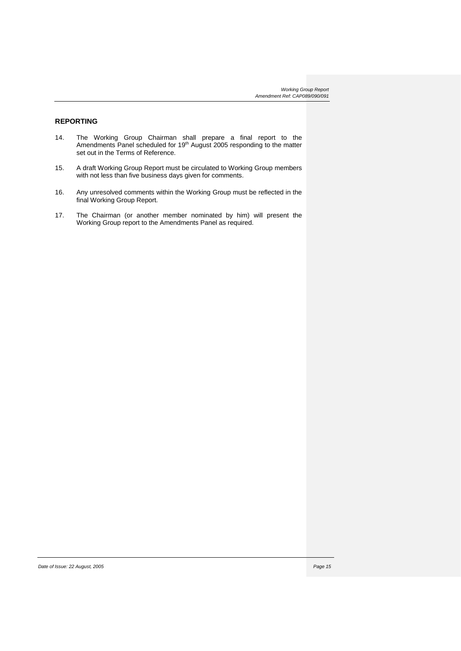# **REPORTING**

- 14. The Working Group Chairman shall prepare a final report to the Amendments Panel scheduled for 19<sup>th</sup> August 2005 responding to the matter set out in the Terms of Reference.
- 15. A draft Working Group Report must be circulated to Working Group members with not less than five business days given for comments.
- 16. Any unresolved comments within the Working Group must be reflected in the final Working Group Report.
- 17. The Chairman (or another member nominated by him) will present the Working Group report to the Amendments Panel as required.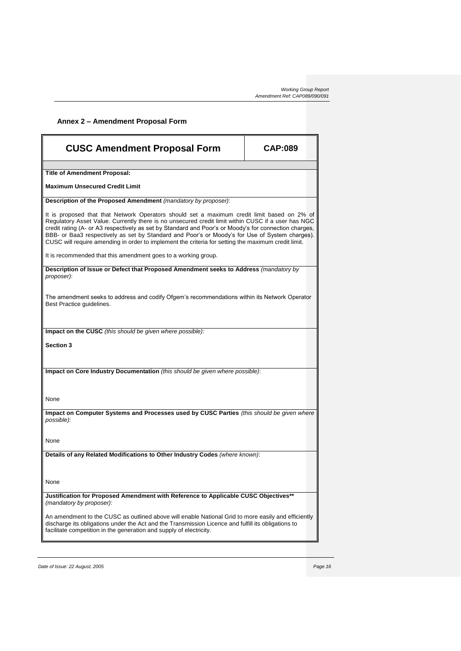| Annex 2 - Amendment Proposal Form                                                                                                                                                                                                                                                                                                                                                                                                                                                                                   |                |  |
|---------------------------------------------------------------------------------------------------------------------------------------------------------------------------------------------------------------------------------------------------------------------------------------------------------------------------------------------------------------------------------------------------------------------------------------------------------------------------------------------------------------------|----------------|--|
| <b>CUSC Amendment Proposal Form</b>                                                                                                                                                                                                                                                                                                                                                                                                                                                                                 | <b>CAP:089</b> |  |
| <b>Title of Amendment Proposal:</b>                                                                                                                                                                                                                                                                                                                                                                                                                                                                                 |                |  |
| <b>Maximum Unsecured Credit Limit</b>                                                                                                                                                                                                                                                                                                                                                                                                                                                                               |                |  |
| Description of the Proposed Amendment (mandatory by proposer):                                                                                                                                                                                                                                                                                                                                                                                                                                                      |                |  |
| It is proposed that that Network Operators should set a maximum credit limit based on 2% of<br>Regulatory Asset Value. Currently there is no unsecured credit limit within CUSC if a user has NGC<br>credit rating (A- or A3 respectively as set by Standard and Poor's or Moody's for connection charges,<br>BBB- or Baa3 respectively as set by Standard and Poor's or Moody's for Use of System charges).<br>CUSC will require amending in order to implement the criteria for setting the maximum credit limit. |                |  |
| It is recommended that this amendment goes to a working group.                                                                                                                                                                                                                                                                                                                                                                                                                                                      |                |  |
| Description of Issue or Defect that Proposed Amendment seeks to Address (mandatory by<br>proposer):                                                                                                                                                                                                                                                                                                                                                                                                                 |                |  |
| The amendment seeks to address and codify Ofgem's recommendations within its Network Operator<br>Best Practice quidelines.                                                                                                                                                                                                                                                                                                                                                                                          |                |  |
| Impact on the CUSC (this should be given where possible):                                                                                                                                                                                                                                                                                                                                                                                                                                                           |                |  |
| <b>Section 3</b>                                                                                                                                                                                                                                                                                                                                                                                                                                                                                                    |                |  |
|                                                                                                                                                                                                                                                                                                                                                                                                                                                                                                                     |                |  |
| Impact on Core Industry Documentation (this should be given where possible):                                                                                                                                                                                                                                                                                                                                                                                                                                        |                |  |
|                                                                                                                                                                                                                                                                                                                                                                                                                                                                                                                     |                |  |
| None                                                                                                                                                                                                                                                                                                                                                                                                                                                                                                                |                |  |
| Impact on Computer Systems and Processes used by CUSC Parties (this should be given where<br>possible):                                                                                                                                                                                                                                                                                                                                                                                                             |                |  |
|                                                                                                                                                                                                                                                                                                                                                                                                                                                                                                                     |                |  |
| None                                                                                                                                                                                                                                                                                                                                                                                                                                                                                                                |                |  |
| Details of any Related Modifications to Other Industry Codes (where known):                                                                                                                                                                                                                                                                                                                                                                                                                                         |                |  |
| None                                                                                                                                                                                                                                                                                                                                                                                                                                                                                                                |                |  |
| Justification for Proposed Amendment with Reference to Applicable CUSC Objectives**<br>(mandatory by proposer):                                                                                                                                                                                                                                                                                                                                                                                                     |                |  |
| An amendment to the CUSC as outlined above will enable National Grid to more easily and efficiently<br>discharge its obligations under the Act and the Transmission Licence and fulfill its obligations to<br>facilitate competition in the generation and supply of electricity.                                                                                                                                                                                                                                   |                |  |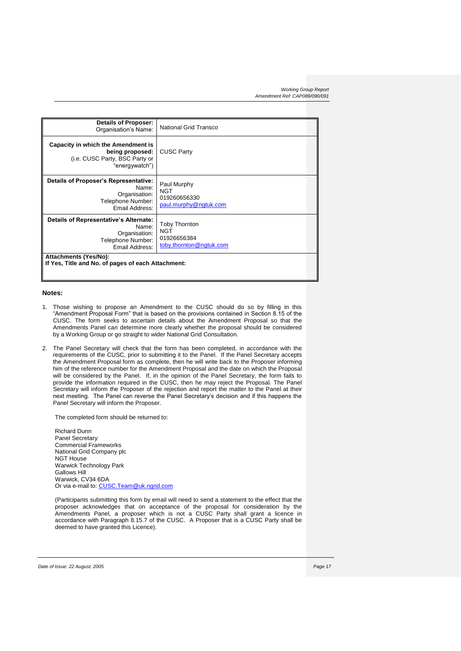| <b>Details of Proposer:</b><br>Organisation's Name:                                                                                                                              | National Grid Transco                                       |  |
|----------------------------------------------------------------------------------------------------------------------------------------------------------------------------------|-------------------------------------------------------------|--|
| Capacity in which the Amendment is<br>being proposed:<br>(i.e. CUSC Party, BSC Party or<br>"energywatch")                                                                        | <b>CUSC Party</b>                                           |  |
| Details of Proposer's Representative:<br>Name:<br>Organisation:<br>Telephone Number:<br>Email Address:                                                                           | Paul Murphy<br>NGT<br>019260656330<br>paul.murphy@ngtuk.com |  |
| Details of Representative's Alternate:<br><b>Toby Thornton</b><br>Name:<br>NGT<br>Organisation:<br>01926656384<br>Telephone Number:<br>toby.thornton@ngtuk.com<br>Email Address: |                                                             |  |
| <b>Attachments (Yes/No):</b><br>If Yes, Title and No. of pages of each Attachment:                                                                                               |                                                             |  |

### **Notes:**

- 1. Those wishing to propose an Amendment to the CUSC should do so by filling in this "Amendment Proposal Form" that is based on the provisions contained in Section 8.15 of the CUSC. The form seeks to ascertain details about the Amendment Proposal so that the Amendments Panel can determine more clearly whether the proposal should be considered by a Working Group or go straight to wider National Grid Consultation.
- 2. The Panel Secretary will check that the form has been completed, in accordance with the requirements of the CUSC, prior to submitting it to the Panel. If the Panel Secretary accepts the Amendment Proposal form as complete, then he will write back to the Proposer informing him of the reference number for the Amendment Proposal and the date on which the Proposal will be considered by the Panel. If, in the opinion of the Panel Secretary, the form fails to provide the information required in the CUSC, then he may reject the Proposal. The Panel Secretary will inform the Proposer of the rejection and report the matter to the Panel at their next meeting. The Panel can reverse the Panel Secretary's decision and if this happens the Panel Secretary will inform the Proposer.

The completed form should be returned to:

Richard Dunn Panel Secretary Commercial Frameworks National Grid Company plc NGT House Warwick Technology Park Gallows Hill Warwick, CV34 6DA Or via e-mail to: [CUSC.Team@uk.ngrid.com](mailto:CUSC.Team@uk.ngrid.com)

(Participants submitting this form by email will need to send a statement to the effect that the proposer acknowledges that on acceptance of the proposal for consideration by the Amendments Panel, a proposer which is not a CUSC Party shall grant a licence in accordance with Paragraph 8.15.7 of the CUSC. A Proposer that is a CUSC Party shall be deemed to have granted this Licence).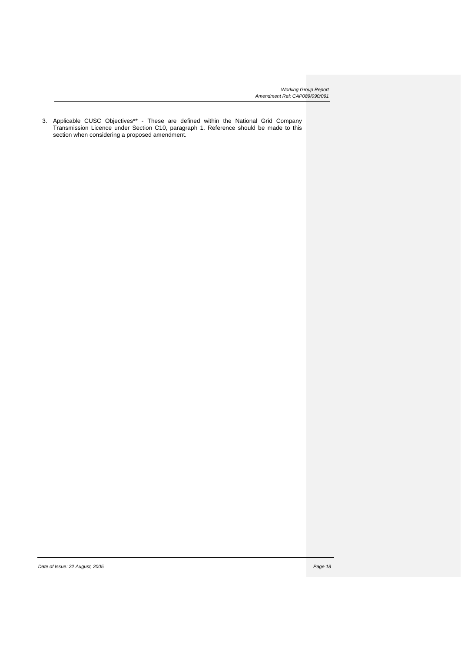3. Applicable CUSC Objectives\*\* - These are defined within the National Grid Company Transmission Licence under Section C10, paragraph 1. Reference should be made to this section when considering a proposed amendment.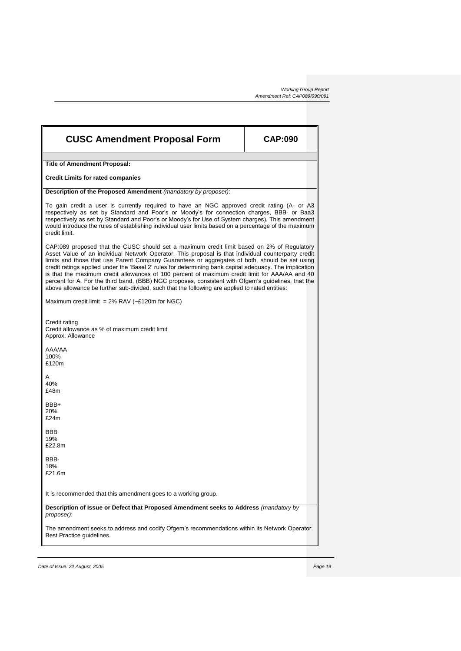| <b>CUSC Amendment Proposal Form</b>                                                                                                                                                                                                                                                                                                                                                                                                                                                                                                                                                                                                                                                                                       | <b>CAP:090</b> |  |
|---------------------------------------------------------------------------------------------------------------------------------------------------------------------------------------------------------------------------------------------------------------------------------------------------------------------------------------------------------------------------------------------------------------------------------------------------------------------------------------------------------------------------------------------------------------------------------------------------------------------------------------------------------------------------------------------------------------------------|----------------|--|
| <b>Title of Amendment Proposal:</b>                                                                                                                                                                                                                                                                                                                                                                                                                                                                                                                                                                                                                                                                                       |                |  |
| <b>Credit Limits for rated companies</b>                                                                                                                                                                                                                                                                                                                                                                                                                                                                                                                                                                                                                                                                                  |                |  |
| Description of the Proposed Amendment (mandatory by proposer):                                                                                                                                                                                                                                                                                                                                                                                                                                                                                                                                                                                                                                                            |                |  |
| To gain credit a user is currently required to have an NGC approved credit rating (A- or A3<br>respectively as set by Standard and Poor's or Moody's for connection charges, BBB- or Baa3<br>respectively as set by Standard and Poor's or Moody's for Use of System charges). This amendment<br>would introduce the rules of establishing individual user limits based on a percentage of the maximum<br>credit limit.                                                                                                                                                                                                                                                                                                   |                |  |
| CAP:089 proposed that the CUSC should set a maximum credit limit based on 2% of Regulatory<br>Asset Value of an individual Network Operator. This proposal is that individual counterparty credit<br>limits and those that use Parent Company Guarantees or aggregates of both, should be set using<br>credit ratings applied under the 'Basel 2' rules for determining bank capital adequacy. The implication<br>is that the maximum credit allowances of 100 percent of maximum credit limit for AAA/AA and 40<br>percent for A. For the third band, (BBB) NGC proposes, consistent with Ofgem's guidelines, that the<br>above allowance be further sub-divided, such that the following are applied to rated entities: |                |  |
| Maximum credit limit = $2\%$ RAV (~£120m for NGC)                                                                                                                                                                                                                                                                                                                                                                                                                                                                                                                                                                                                                                                                         |                |  |
| Credit rating<br>Credit allowance as % of maximum credit limit<br>Approx. Allowance                                                                                                                                                                                                                                                                                                                                                                                                                                                                                                                                                                                                                                       |                |  |
| AAA/AA<br>100%<br>£120m                                                                                                                                                                                                                                                                                                                                                                                                                                                                                                                                                                                                                                                                                                   |                |  |
| A<br>40%<br>£48m                                                                                                                                                                                                                                                                                                                                                                                                                                                                                                                                                                                                                                                                                                          |                |  |
| BBB+<br>20%<br>£24m                                                                                                                                                                                                                                                                                                                                                                                                                                                                                                                                                                                                                                                                                                       |                |  |
| <b>BBB</b><br>19%<br>£22.8m                                                                                                                                                                                                                                                                                                                                                                                                                                                                                                                                                                                                                                                                                               |                |  |
| BBB-<br>18%<br>£21.6m                                                                                                                                                                                                                                                                                                                                                                                                                                                                                                                                                                                                                                                                                                     |                |  |
| It is recommended that this amendment goes to a working group.                                                                                                                                                                                                                                                                                                                                                                                                                                                                                                                                                                                                                                                            |                |  |
| Description of Issue or Defect that Proposed Amendment seeks to Address (mandatory by<br>proposer):                                                                                                                                                                                                                                                                                                                                                                                                                                                                                                                                                                                                                       |                |  |
| The amendment seeks to address and codify Ofgem's recommendations within its Network Operator<br>Best Practice guidelines.                                                                                                                                                                                                                                                                                                                                                                                                                                                                                                                                                                                                |                |  |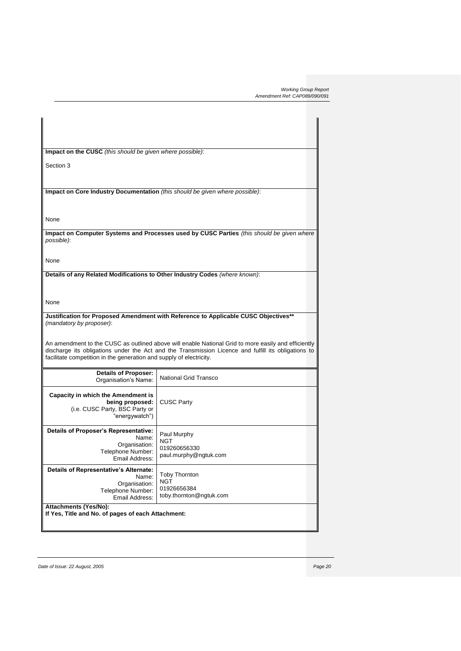| Impact on the CUSC (this should be given where possible):                          |                                                                                                     |
|------------------------------------------------------------------------------------|-----------------------------------------------------------------------------------------------------|
| Section 3                                                                          |                                                                                                     |
|                                                                                    |                                                                                                     |
| Impact on Core Industry Documentation (this should be given where possible):       |                                                                                                     |
|                                                                                    |                                                                                                     |
|                                                                                    |                                                                                                     |
| None                                                                               |                                                                                                     |
|                                                                                    | Impact on Computer Systems and Processes used by CUSC Parties (this should be given where           |
| possible):                                                                         |                                                                                                     |
|                                                                                    |                                                                                                     |
| None                                                                               |                                                                                                     |
| Details of any Related Modifications to Other Industry Codes (where known):        |                                                                                                     |
|                                                                                    |                                                                                                     |
|                                                                                    |                                                                                                     |
| None                                                                               |                                                                                                     |
|                                                                                    | Justification for Proposed Amendment with Reference to Applicable CUSC Objectives**                 |
| (mandatory by proposer):                                                           |                                                                                                     |
|                                                                                    |                                                                                                     |
|                                                                                    | An amendment to the CUSC as outlined above will enable National Grid to more easily and efficiently |
| facilitate competition in the generation and supply of electricity.                | discharge its obligations under the Act and the Transmission Licence and fulfill its obligations to |
|                                                                                    |                                                                                                     |
| <b>Details of Proposer:</b><br>Organisation's Name:                                | <b>National Grid Transco</b>                                                                        |
|                                                                                    |                                                                                                     |
| <b>Capacity in which the Amendment is</b>                                          |                                                                                                     |
| being proposed:<br>(i.e. CUSC Party, BSC Party or                                  | <b>CUSC Party</b>                                                                                   |
| "energywatch")                                                                     |                                                                                                     |
| Details of Proposer's Representative:                                              |                                                                                                     |
| Name:                                                                              | Paul Murphy<br>NGT                                                                                  |
| Organisation:<br>Telephone Number:                                                 | 019260656330                                                                                        |
| Email Address:                                                                     | paul.murphy@ngtuk.com                                                                               |
| Details of Representative's Alternate:                                             | <b>Toby Thornton</b>                                                                                |
| Name:<br>Organisation:                                                             | NGT                                                                                                 |
| Telephone Number:                                                                  | 01926656384                                                                                         |
| Email Address:                                                                     | toby.thornton@ngtuk.com                                                                             |
| <b>Attachments (Yes/No):</b><br>If Yes, Title and No. of pages of each Attachment: |                                                                                                     |
|                                                                                    |                                                                                                     |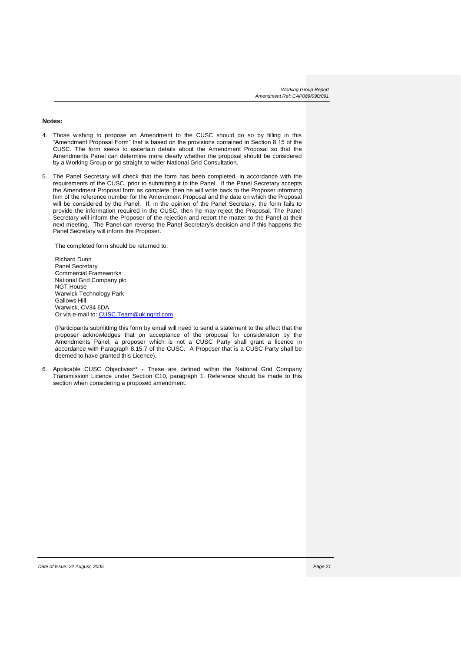### **Notes:**

- 4. Those wishing to propose an Amendment to the CUSC should do so by filling in this "Amendment Proposal Form" that is based on the provisions contained in Section 8.15 of the CUSC. The form seeks to ascertain details about the Amendment Proposal so that the Amendments Panel can determine more clearly whether the proposal should be considered by a Working Group or go straight to wider National Grid Consultation.
- 5. The Panel Secretary will check that the form has been completed, in accordance with the requirements of the CUSC, prior to submitting it to the Panel. If the Panel Secretary accepts the Amendment Proposal form as complete, then he will write back to the Proposer informing him of the reference number for the Amendment Proposal and the date on which the Proposal will be considered by the Panel. If, in the opinion of the Panel Secretary, the form fails to provide the information required in the CUSC, then he may reject the Proposal. The Panel Secretary will inform the Proposer of the rejection and report the matter to the Panel at their next meeting. The Panel can reverse the Panel Secretary's decision and if this happens the Panel Secretary will inform the Proposer.

The completed form should be returned to:

Richard Dunn Panel Secretary Commercial Frameworks National Grid Company plc NGT House Warwick Technology Park Gallows Hill Warwick, CV34 6DA Or via e-mail to: [CUSC.Team@uk.ngrid.com](mailto:CUSC.Team@uk.ngrid.com)

(Participants submitting this form by email will need to send a statement to the effect that the proposer acknowledges that on acceptance of the proposal for consideration by the Amendments Panel, a proposer which is not a CUSC Party shall grant a licence in accordance with Paragraph 8.15.7 of the CUSC. A Proposer that is a CUSC Party shall be deemed to have granted this Licence).

6. Applicable CUSC Objectives\*\* - These are defined within the National Grid Company Transmission Licence under Section C10, paragraph 1. Reference should be made to this section when considering a proposed amendment.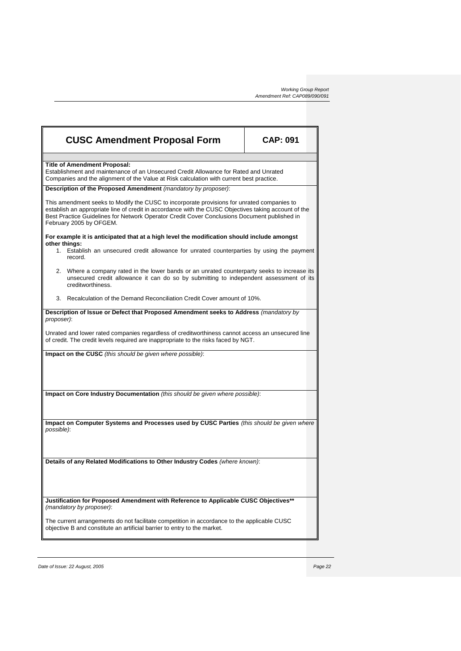| <b>CUSC Amendment Proposal Form</b>                                                                                                                                                                                                                                                                                           | <b>CAP: 091</b> |  |  |
|-------------------------------------------------------------------------------------------------------------------------------------------------------------------------------------------------------------------------------------------------------------------------------------------------------------------------------|-----------------|--|--|
| <b>Title of Amendment Proposal:</b>                                                                                                                                                                                                                                                                                           |                 |  |  |
| Establishment and maintenance of an Unsecured Credit Allowance for Rated and Unrated<br>Companies and the alignment of the Value at Risk calculation with current best practice.                                                                                                                                              |                 |  |  |
| Description of the Proposed Amendment (mandatory by proposer):                                                                                                                                                                                                                                                                |                 |  |  |
| This amendment seeks to Modify the CUSC to incorporate provisions for unrated companies to<br>establish an appropriate line of credit in accordance with the CUSC Objectives taking account of the<br>Best Practice Guidelines for Network Operator Credit Cover Conclusions Document published in<br>February 2005 by OFGEM. |                 |  |  |
| For example it is anticipated that at a high level the modification should include amongst                                                                                                                                                                                                                                    |                 |  |  |
| other things:<br>1. Establish an unsecured credit allowance for unrated counterparties by using the payment<br>record.                                                                                                                                                                                                        |                 |  |  |
| 2. Where a company rated in the lower bands or an unrated counterparty seeks to increase its<br>unsecured credit allowance it can do so by submitting to independent assessment of its<br>creditworthiness.                                                                                                                   |                 |  |  |
| 3. Recalculation of the Demand Reconciliation Credit Cover amount of 10%.                                                                                                                                                                                                                                                     |                 |  |  |
| Description of Issue or Defect that Proposed Amendment seeks to Address (mandatory by<br>proposer):                                                                                                                                                                                                                           |                 |  |  |
| Unrated and lower rated companies regardless of creditworthiness cannot access an unsecured line<br>of credit. The credit levels required are inappropriate to the risks faced by NGT.                                                                                                                                        |                 |  |  |
| <b>Impact on the CUSC</b> (this should be given where possible):                                                                                                                                                                                                                                                              |                 |  |  |
|                                                                                                                                                                                                                                                                                                                               |                 |  |  |
| Impact on Core Industry Documentation (this should be given where possible):                                                                                                                                                                                                                                                  |                 |  |  |
|                                                                                                                                                                                                                                                                                                                               |                 |  |  |
| Impact on Computer Systems and Processes used by CUSC Parties (this should be given where                                                                                                                                                                                                                                     |                 |  |  |
| possible):                                                                                                                                                                                                                                                                                                                    |                 |  |  |
| Details of any Related Modifications to Other Industry Codes (where known):                                                                                                                                                                                                                                                   |                 |  |  |
|                                                                                                                                                                                                                                                                                                                               |                 |  |  |
| Justification for Proposed Amendment with Reference to Applicable CUSC Objectives**<br>(mandatory by proposer):                                                                                                                                                                                                               |                 |  |  |
| The current arrangements do not facilitate competition in accordance to the applicable CUSC<br>objective B and constitute an artificial barrier to entry to the market.                                                                                                                                                       |                 |  |  |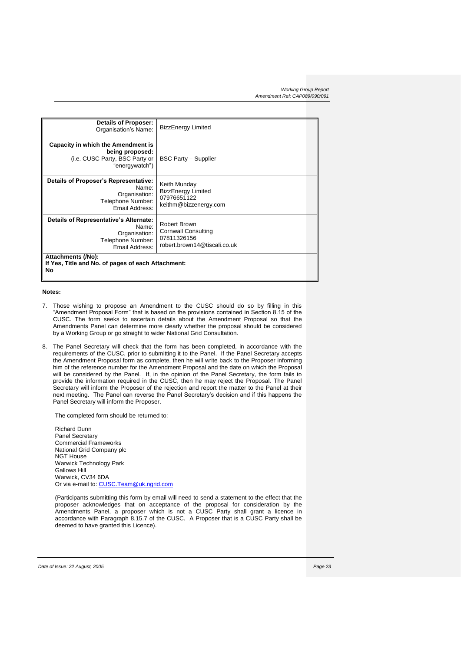| <b>Details of Proposer:</b><br>Organisation's Name:                                                       | <b>BizzEnergy Limited</b>                                                                 |  |
|-----------------------------------------------------------------------------------------------------------|-------------------------------------------------------------------------------------------|--|
| Capacity in which the Amendment is<br>being proposed:<br>(i.e. CUSC Party, BSC Party or<br>"energywatch") | <b>BSC Party - Supplier</b>                                                               |  |
| Details of Proposer's Representative:<br>Name:<br>Organisation:<br>Telephone Number:<br>Email Address:    | Keith Munday<br><b>BizzEnergy Limited</b><br>07976651122<br>keithm@bizzenergy.com         |  |
| Details of Representative's Alternate:<br>Name:<br>Organisation:<br>Telephone Number:<br>Email Address:   | Robert Brown<br><b>Cornwall Consulting</b><br>07811326156<br>robert.brown14@tiscali.co.uk |  |
| Attachments (/No):<br>If Yes, Title and No. of pages of each Attachment:<br>No                            |                                                                                           |  |

### **Notes:**

- 7. Those wishing to propose an Amendment to the CUSC should do so by filling in this "Amendment Proposal Form" that is based on the provisions contained in Section 8.15 of the CUSC. The form seeks to ascertain details about the Amendment Proposal so that the Amendments Panel can determine more clearly whether the proposal should be considered by a Working Group or go straight to wider National Grid Consultation.
- 8. The Panel Secretary will check that the form has been completed, in accordance with the requirements of the CUSC, prior to submitting it to the Panel. If the Panel Secretary accepts the Amendment Proposal form as complete, then he will write back to the Proposer informing him of the reference number for the Amendment Proposal and the date on which the Proposal will be considered by the Panel. If, in the opinion of the Panel Secretary, the form fails to provide the information required in the CUSC, then he may reject the Proposal. The Panel Secretary will inform the Proposer of the rejection and report the matter to the Panel at their next meeting. The Panel can reverse the Panel Secretary's decision and if this happens the Panel Secretary will inform the Proposer.

The completed form should be returned to:

Richard Dunn Panel Secretary Commercial Frameworks National Grid Company plc NGT House Warwick Technology Park Gallows Hill Warwick, CV34 6DA Or via e-mail to: [CUSC.Team@uk.ngrid.com](mailto:CUSC.Team@uk.ngrid.com)

(Participants submitting this form by email will need to send a statement to the effect that the proposer acknowledges that on acceptance of the proposal for consideration by the Amendments Panel, a proposer which is not a CUSC Party shall grant a licence in accordance with Paragraph 8.15.7 of the CUSC. A Proposer that is a CUSC Party shall be deemed to have granted this Licence).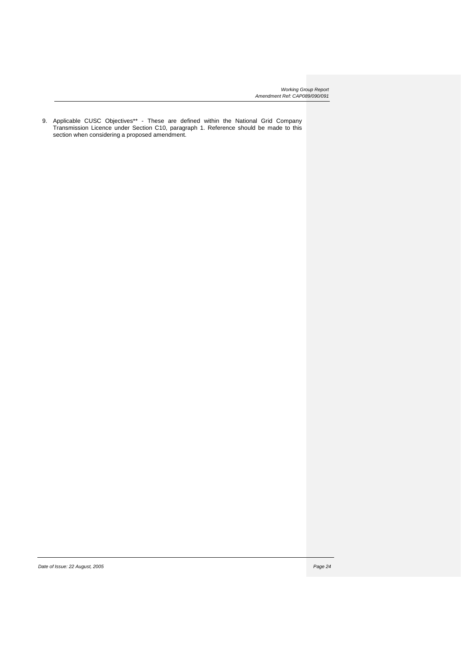9. Applicable CUSC Objectives\*\* - These are defined within the National Grid Company Transmission Licence under Section C10, paragraph 1. Reference should be made to this section when considering a proposed amendment.